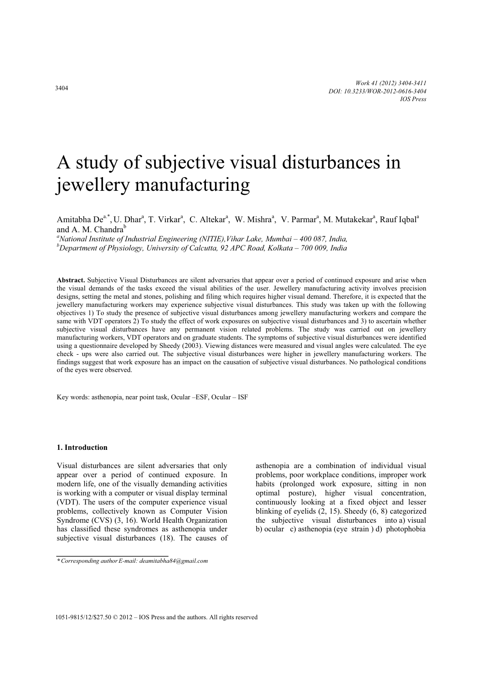# A study of subjective visual disturbances in jewellery manufacturing

Amitabha De<sup>a.\*</sup>, U. Dhar<sup>a</sup>, T. Virkar<sup>a</sup>, C. Altekar<sup>a</sup>, W. Mishra<sup>a</sup>, V. Parmar<sup>a</sup>, M. Mutakekar<sup>a</sup>, Rauf Iqbal<sup>a</sup> and A. M. Chandra $<sup>b</sup>$ </sup>

*a National Institute of Industrial Engineering (NITIE),Vihar Lake, Mumbai – 400 087, India, b Department of Physiology, University of Calcutta, 92 APC Road, Kolkata – 700 009, India* 

**Abstract.** Subjective Visual Disturbances are silent adversaries that appear over a period of continued exposure and arise when the visual demands of the tasks exceed the visual abilities of the user. Jewellery manufacturing activity involves precision designs, setting the metal and stones, polishing and filing which requires higher visual demand. Therefore, it is expected that the jewellery manufacturing workers may experience subjective visual disturbances. This study was taken up with the following objectives 1) To study the presence of subjective visual disturbances among jewellery manufacturing workers and compare the same with VDT operators 2) To study the effect of work exposures on subjective visual disturbances and 3) to ascertain whether subjective visual disturbances have any permanent vision related problems. The study was carried out on jewellery manufacturing workers, VDT operators and on graduate students. The symptoms of subjective visual disturbances were identified using a questionnaire developed by Sheedy (2003). Viewing distances were measured and visual angles were calculated. The eye check - ups were also carried out. The subjective visual disturbances were higher in jewellery manufacturing workers. The findings suggest that work exposure has an impact on the causation of subjective visual disturbances. No pathological conditions of the eyes were observed.

Key words: asthenopia, near point task, Ocular –ESF, Ocular – ISF

# **1. Introduction**

Visual disturbances are silent adversaries that only appear over a period of continued exposure. In modern life, one of the visually demanding activities is working with a computer or visual display terminal (VDT). The users of the computer experience visual problems, collectively known as Computer Vision Syndrome (CVS) (3, 16). World Health Organization has classified these syndromes as asthenopia under subjective visual disturbances (18). The causes of asthenopia are a combination of individual visual problems, poor workplace conditions, improper work habits (prolonged work exposure, sitting in non optimal posture), higher visual concentration, continuously looking at a fixed object and lesser blinking of eyelids (2, 15). Sheedy (6, 8) categorized the subjective visual disturbances into a) visual b) ocular c) asthenopia (eye strain ) d) photophobia

*<sup>\*</sup>Corresponding authorE-mail: deamitabha84@gmail.com*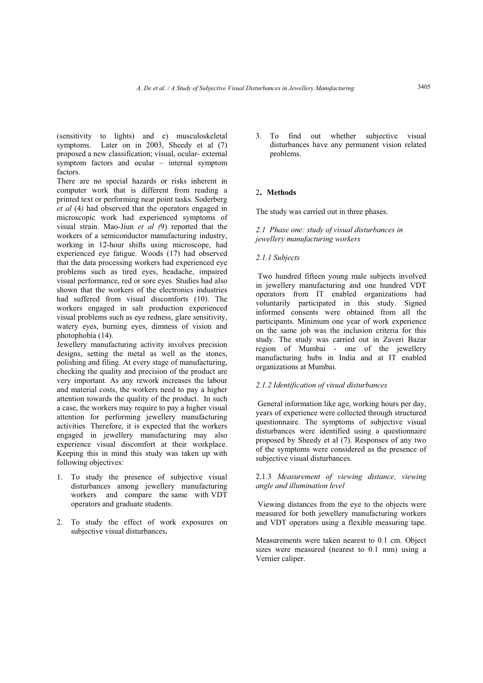(sensitivity to lights) and e) musculoskeletal symptoms. Later on in 2003, Sheedy et al (7) proposed a new classification; visual, ocular- external symptom factors and ocular – internal symptom factors.

There are no special hazards or risks inherent in computer work that is different from reading a printed text or performing near point tasks. Soderberg *et al* (4*)* had observed that the operators engaged in microscopic work had experienced symptoms of visual strain. Mao-Jiun *et al (*9) reported that the workers of a semiconductor manufacturing industry, working in 12-hour shifts using microscope, had experienced eye fatigue. Woods (17) had observed that the data processing workers had experienced eye problems such as tired eyes, headache, impaired visual performance, red or sore eyes. Studies had also shown that the workers of the electronics industries had suffered from visual discomforts (10). The workers engaged in salt production experienced visual problems such as eye redness, glare sensitivity, watery eyes, burning eyes, dimness of vision and photophobia (14).

Jewellery manufacturing activity involves precision designs, setting the metal as well as the stones, polishing and filing. At every stage of manufacturing, checking the quality and precision of the product are very important. As any rework increases the labour and material costs, the workers need to pay a higher attention towards the quality of the product. In such a case, the workers may require to pay a higher visual attention for performing jewellery manufacturing activities. Therefore, it is expected that the workers engaged in jewellery manufacturing may also experience visual discomfort at their workplace. Keeping this in mind this study was taken up with following objectives:

- 1. To study the presence of subjective visual disturbances among jewellery manufacturing workers and compare the same with VDT operators and graduate students.
- 2. To study the effect of work exposures on subjective visual disturbances**.**

3. To find out whether subjective visual disturbances have any permanent vision related problems.

# <sup>2</sup>**. Methods**

The study was carried out in three phases.

# *2.1 Phase one: study of visual disturbances in jewellery manufacturing workers*

# *2.1.1 Subjects*

Two hundred fifteen young male subjects involved in jewellery manufacturing and one hundred VDT operators from IT enabled organizations had voluntarily participated in this study. Signed informed consents were obtained from all the participants. Minimum one year of work experience on the same job was the inclusion criteria for this study. The study was carried out in Zaveri Bazar region of Mumbai - one of the jewellery manufacturing hubs in India and at IT enabled organizations at Mumbai.

# *2.1.2 Identification of visual disturbances*

General information like age, working hours per day, years of experience were collected through structured questionnaire. The symptoms of subjective visual disturbances were identified using a questionnaire proposed by Sheedy et al (7). Responses of any two of the symptoms were considered as the presence of subjective visual disturbances.

# 2.1.3 *Measurement of viewing distance, viewing angle and illumination level*

Viewing distances from the eye to the objects were measured for both jewellery manufacturing workers and VDT operators using a flexible measuring tape.

Measurements were taken nearest to 0.1 cm. Object sizes were measured (nearest to 0.1 mm) using a Vernier caliper.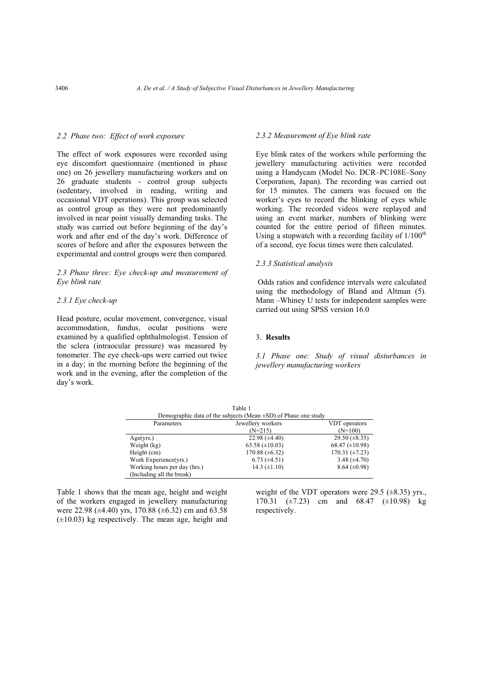## *2.2 Phase two: Effect of work exposure*

The effect of work exposures were recorded using eye discomfort questionnaire (mentioned in phase one) on 26 jewellery manufacturing workers and on 26 graduate students - control group subjects (sedentary, involved in reading, writing and occasional VDT operations). This group was selected as control group as they were not predominantly involved in near point visually demanding tasks. The study was carried out before beginning of the day's work and after end of the day's work. Difference of scores of before and after the exposures between the experimental and control groups were then compared.

# *2.3 Phase three: Eye check-up and measurement of Eye blink rate*

## *2.3.1 Eye check-up*

Head posture, ocular movement, convergence, visual accommodation, fundus, ocular positions were examined by a qualified ophthalmologist. Tension of the sclera (intraocular pressure) was measured by tonometer. The eye check-ups were carried out twice in a day; in the morning before the beginning of the work and in the evening, after the completion of the day's work.

## *2.3.2 Measurement of Eye blink rate*

Eye blink rates of the workers while performing the jewellery manufacturing activities were recorded using a Handycam (Model No. DCR–PC108E–Sony Corporation, Japan). The recording was carried out for 15 minutes. The camera was focused on the worker's eyes to record the blinking of eyes while working. The recorded videos were replayed and using an event marker, numbers of blinking were counted for the entire period of fifteen minutes. Using a stopwatch with a recording facility of  $1/100<sup>th</sup>$ of a second, eye focus times were then calculated.

#### *2.3.3 Statistical analysis*

Odds ratios and confidence intervals were calculated using the methodology of Bland and Altman (5). Mann –Whiney U tests for independent samples were carried out using SPSS version 16.0

#### 3. **Results**

*3.1 Phase one: Study of visual disturbances in jewellery manufacturing workers* 

|                                                                      | Table 1             |                       |  |  |
|----------------------------------------------------------------------|---------------------|-----------------------|--|--|
| Demographic data of the subjects (Mean $\pm SD$ ) of Phase one study |                     |                       |  |  |
| Parameters                                                           | Jewellery workers   | VDT operators         |  |  |
|                                                                      | $(N=215)$           | $(N=100)$             |  |  |
| Age(yrs.)                                                            | 22.98 $(\pm 4.40)$  | 29.50 $(\pm 8.35)$    |  |  |
| Weight (kg)                                                          | 63.58 $(\pm 10.03)$ | $68.47 \ (\pm 10.98)$ |  |  |
| Height (cm)                                                          | 170.88 $(\pm 6.32)$ | 170.31 $(\pm 7.23)$   |  |  |
| Work Experience(yrs.)                                                | $6.73 (\pm 4.51)$   | 3.48 $(\pm 4.70)$     |  |  |
| Working hours per day (hrs.)                                         | 14.3 $(\pm 1.10)$   | $8.64 (\pm 0.98)$     |  |  |
| (Including all the break)                                            |                     |                       |  |  |

Table 1 shows that the mean age, height and weight of the workers engaged in jewellery manufacturing were 22.98 ( $\pm$ 4.40) yrs, 170.88 ( $\pm$ 6.32) cm and 63.58  $(\pm 10.03)$  kg respectively. The mean age, height and

weight of the VDT operators were 29.5  $(\pm 8.35)$  yrs. 170.31  $(\pm 7.23)$  cm and 68.47  $(\pm 10.98)$  kg respectively.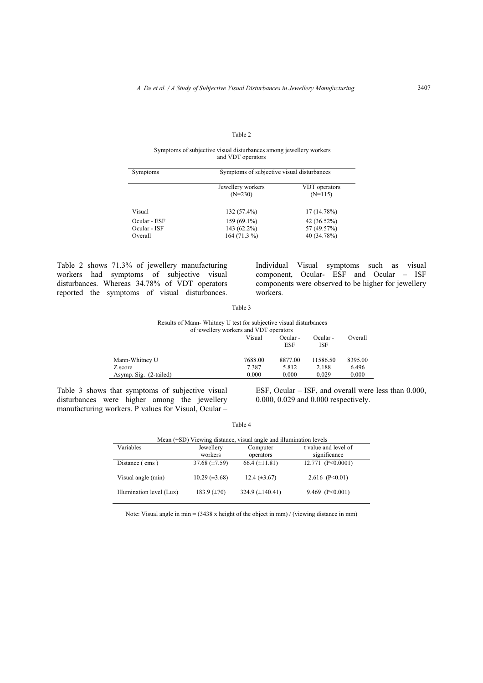#### Table 2

#### Symptoms of subjective visual disturbances among jewellery workers and VDT operators

| Symptoms     | Symptoms of subjective visual disturbances |                            |  |
|--------------|--------------------------------------------|----------------------------|--|
|              | Jewellery workers<br>$(N=230)$             | VDT operators<br>$(N=115)$ |  |
| Visual       | $132(57.4\%)$                              | $17(14.78\%)$              |  |
| Ocular - ESF | $159(69.1\%)$                              | $42(36.52\%)$              |  |
| Ocular - ISF | $143(62.2\%)$                              | 57 (49.57%)                |  |
| Overall      | $164(71.3\%)$                              | 40 (34.78%)                |  |

Table 2 shows 71.3% of jewellery manufacturing workers had symptoms of subjective visual disturbances. Whereas 34.78% of VDT operators reported the symptoms of visual disturbances.

Individual Visual symptoms such as visual component, Ocular- ESF and Ocular – ISF components were observed to be higher for jewellery workers.

Table 3

Results of Mann- Whitney U test for subjective visual disturbances

| of jewellery workers and VDT operators |                                |         |          |         |
|----------------------------------------|--------------------------------|---------|----------|---------|
|                                        | Visual<br>Ocular -<br>Ocular - |         |          |         |
|                                        |                                | ESF     | ISF      |         |
|                                        |                                |         |          |         |
| Mann-Whitney U                         | 7688.00                        | 8877.00 | 11586.50 | 8395.00 |
| Z score                                | 7.387                          | 5.812   | 2.188    | 6.496   |
| Asymp. Sig. (2-tailed)                 | 0.000                          | 0.000   | 0.029    | 0.000   |

Table 3 shows that symptoms of subjective visual disturbances were higher among the jewellery manufacturing workers. P values for Visual, Ocular – ESF, Ocular – ISF, and overall were less than 0.000, 0.000, 0.029 and 0.000 respectively.

| Mean $(\pm SD)$ Viewing distance, visual angle and illumination levels |                      |                        |                                      |  |  |
|------------------------------------------------------------------------|----------------------|------------------------|--------------------------------------|--|--|
| Variables                                                              | Jewellery<br>workers | Computer<br>operators  | t value and level of<br>significance |  |  |
| Distance (cms)                                                         | 37.68 $(\pm 7.59)$   | $66.4 (\pm 11.81)$     | 12.771 $(P<0.0001)$                  |  |  |
| Visual angle (min)                                                     | $10.29 \ (\pm 3.68)$ | $12.4 \ (\pm 3.67)$    | 2.616 $(P<0.01)$                     |  |  |
| Illumination level (Lux)                                               | 183.9 $(\pm 70)$     | $324.9 \ (\pm 140.41)$ | 9.469 ( $P \le 0.001$ )              |  |  |

Table 4

Note: Visual angle in min = (3438 x height of the object in mm) / (viewing distance in mm)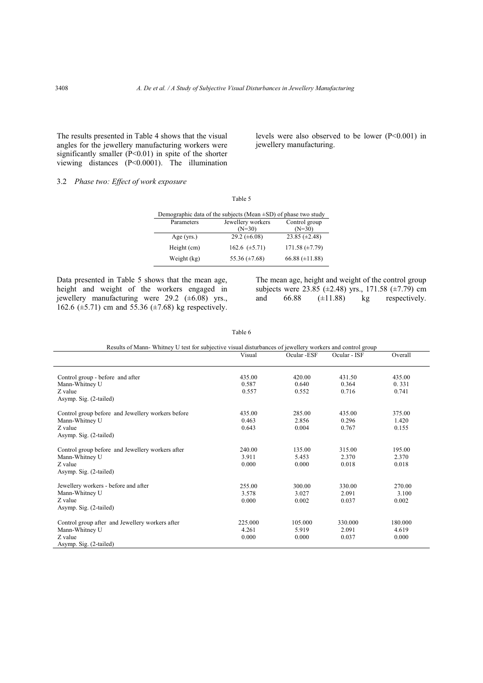The results presented in Table 4 shows that the visual angles for the jewellery manufacturing workers were significantly smaller (P<0.01) in spite of the shorter viewing distances (P<0.0001). The illumination

levels were also observed to be lower (P<0.001) in jewellery manufacturing.

# 3.2 *Phase two: Effect of work exposure*

| Demographic data of the subjects (Mean $\pm SD$ ) of phase two study |                               |                           |  |  |
|----------------------------------------------------------------------|-------------------------------|---------------------------|--|--|
| Parameters                                                           | Jewellery workers<br>$(N=30)$ | Control group<br>$(N=30)$ |  |  |
| Age $(yrs.)$                                                         | 29.2 $(\pm 6.08)$             | $23.85 \ (\pm 2.48)$      |  |  |
| Height (cm)                                                          | 162.6 $(\pm 5.71)$            | $171.58 \ (\pm 7.79)$     |  |  |
| Weight (kg)                                                          | 55.36 $(\pm 7.68)$            | 66.88 $(\pm 11.88)$       |  |  |

Table 5

Data presented in Table 5 shows that the mean age, height and weight of the workers engaged in jewellery manufacturing were 29.2  $(\pm 6.08)$  yrs., 162.6 ( $\pm$ 5.71) cm and 55.36 ( $\pm$ 7.68) kg respectively.

The mean age, height and weight of the control group subjects were 23.85 ( $\pm$ 2.48) yrs., 171.58 ( $\pm$ 7.79) cm and  $66.88$   $(\pm 11.88)$  kg respectively.

Table 6

| Results of Mann-Whitney U test for subjective visual disturbances of jewellery workers and control group |         |             |              |         |
|----------------------------------------------------------------------------------------------------------|---------|-------------|--------------|---------|
|                                                                                                          | Visual  | Ocular -ESF | Ocular - ISF | Overall |
| Control group - before and after                                                                         | 435.00  | 420.00      | 431.50       | 435.00  |
| Mann-Whitney U                                                                                           | 0.587   | 0.640       | 0.364        | 0.331   |
| Z value                                                                                                  | 0.557   | 0.552       | 0.716        | 0.741   |
| Asymp. Sig. (2-tailed)                                                                                   |         |             |              |         |
| Control group before and Jewellery workers before                                                        | 435.00  | 285.00      | 435.00       | 375.00  |
| Mann-Whitney U                                                                                           | 0.463   | 2.856       | 0.296        | 1.420   |
| Z value                                                                                                  | 0.643   | 0.004       | 0.767        | 0.155   |
| Asymp. Sig. (2-tailed)                                                                                   |         |             |              |         |
| Control group before and Jewellery workers after                                                         | 240.00  | 135.00      | 315.00       | 195.00  |
| Mann-Whitney U                                                                                           | 3.911   | 5.453       | 2.370        | 2.370   |
| Z value                                                                                                  | 0.000   | 0.000       | 0.018        | 0.018   |
| Asymp. Sig. (2-tailed)                                                                                   |         |             |              |         |
| Jewellery workers - before and after                                                                     | 255.00  | 300.00      | 330.00       | 270.00  |
| Mann-Whitney U                                                                                           | 3.578   | 3.027       | 2.091        | 3.100   |
| Z value                                                                                                  | 0.000   | 0.002       | 0.037        | 0.002   |
| Asymp. Sig. (2-tailed)                                                                                   |         |             |              |         |
| Control group after and Jewellery workers after                                                          | 225.000 | 105.000     | 330.000      | 180.000 |
| Mann-Whitney U                                                                                           | 4.261   | 5.919       | 2.091        | 4.619   |
| Z value                                                                                                  | 0.000   | 0.000       | 0.037        | 0.000   |
| Asymp. Sig. (2-tailed)                                                                                   |         |             |              |         |

l,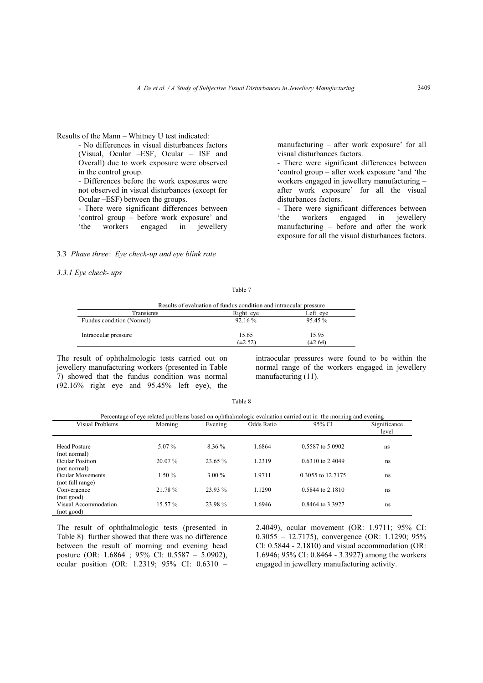# Results of the Mann – Whitney U test indicated:

- No differences in visual disturbances factors (Visual, Ocular –ESF, Ocular – ISF and Overall) due to work exposure were observed in the control group.

- Differences before the work exposures were not observed in visual disturbances (except for Ocular –ESF) between the groups.

- There were significant differences between 'control group – before work exposure' and 'the workers engaged in jewellery

# 3.3 *Phase three: Eye check-up and eye blink rate*

# *3.3.1 Eye check- ups*

manufacturing – after work exposure' for all visual disturbances factors.

- There were significant differences between 'control group – after work exposure 'and 'the workers engaged in jewellery manufacturing – after work exposure' for all the visual disturbances factors.

- There were significant differences between<br>
"the workers engaged in jewellery" engaged in jewellery manufacturing – before and after the work exposure for all the visual disturbances factors.

| anie |
|------|
|------|

| Results of evaluation of fundus condition and intraocular pressure |                       |                       |  |  |
|--------------------------------------------------------------------|-----------------------|-----------------------|--|--|
| Transients                                                         | Right eye             | Left eve              |  |  |
| Fundus condition (Normal)                                          | $92.16\%$             | $95.45\%$             |  |  |
| Intraocular pressure                                               | 15.65<br>$(\pm 2.52)$ | 15.95<br>$(\pm 2.64)$ |  |  |

The result of ophthalmologic tests carried out on jewellery manufacturing workers (presented in Table 7) showed that the fundus condition was normal (92.16% right eye and 95.45% left eye), the intraocular pressures were found to be within the normal range of the workers engaged in jewellery manufacturing (11).

| Percentage of eye related problems based on ophthalmologic evaluation carried out in the morning and evening |           |           |            |                   |                       |
|--------------------------------------------------------------------------------------------------------------|-----------|-----------|------------|-------------------|-----------------------|
| Visual Problems                                                                                              | Morning   | Evening   | Odds Ratio | 95% CI            | Significance<br>level |
| <b>Head Posture</b><br>(not normal)                                                                          | $5.07\%$  | 8.36 %    | 1.6864     | 0.5587 to 5.0902  | ns                    |
| Ocular Position<br>(not normal)                                                                              | $20.07\%$ | $23.65\%$ | 1.2319     | 0.6310 to 2.4049  | ns                    |
| Ocular Movements<br>(not full range)                                                                         | 1.50%     | $3.00\%$  | 1.9711     | 0.3055 to 12.7175 | ns                    |
| Convergence<br>(not good)                                                                                    | 21.78 %   | 23.93 %   | 1.1290     | 0.5844 to 2.1810  | ns                    |
| Visual Accommodation<br>(not good)                                                                           | $15.57\%$ | 23.98%    | 1.6946     | 0.8464 to 3.3927  | ns                    |

Table 8

The result of ophthalmologic tests (presented in Table 8) further showed that there was no difference between the result of morning and evening head posture (OR: 1.6864 ; 95% CI: 0.5587 – 5.0902), ocular position (OR: 1.2319; 95% CI: 0.6310 –

2.4049), ocular movement (OR: 1.9711; 95% CI: 0.3055 – 12.7175), convergence (OR: 1.1290; 95% CI: 0.5844 - 2.1810) and visual accommodation (OR: 1.6946; 95% CI: 0.8464 - 3.3927) among the workers engaged in jewellery manufacturing activity.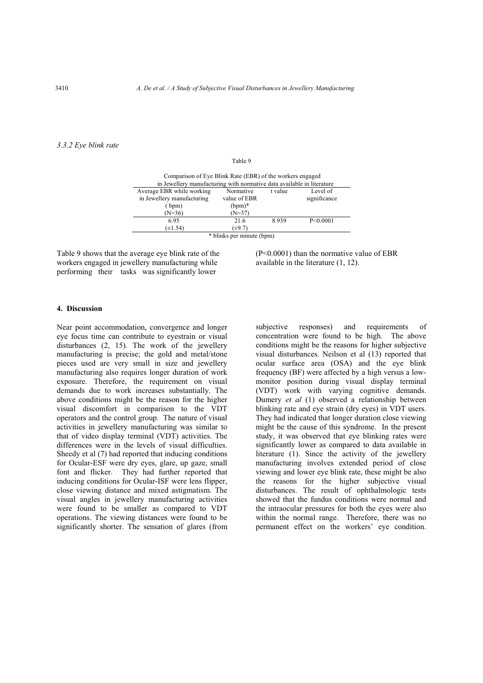## *3.3.2 Eye blink rate*

#### Table 9

| Comparison of Eye Blink Rate (EBR) of the workers engaged              |              |         |              |  |
|------------------------------------------------------------------------|--------------|---------|--------------|--|
| in Jewellery manufacturing with normative data available in literature |              |         |              |  |
| Average EBR while working                                              | Normative    | t value | Level of     |  |
| in Jewellery manufacturing                                             | value of EBR |         | significance |  |
| (bpm)                                                                  | $(bpm)*$     |         |              |  |
| $(N=36)$                                                               | $(N=37)$     |         |              |  |
| 6.95                                                                   | 21.6         | 8.939   | P < 0.0001   |  |
| $(\pm 1.54)$                                                           | $(\pm 9.7)$  |         |              |  |
| * blinks per minute (bpm)                                              |              |         |              |  |

Table 9 shows that the average eye blink rate of the workers engaged in jewellery manufacturing while performing their tasks was significantly lower

(P<0.0001) than the normative value of EBR available in the literature (1, 12).

#### **4. Discussion**

Near point accommodation, convergence and longer eye focus time can contribute to eyestrain or visual disturbances (2, 15). The work of the jewellery manufacturing is precise; the gold and metal/stone pieces used are very small in size and jewellery manufacturing also requires longer duration of work exposure. Therefore, the requirement on visual demands due to work increases substantially. The above conditions might be the reason for the higher visual discomfort in comparison to the VDT operators and the control group. The nature of visual activities in jewellery manufacturing was similar to that of video display terminal (VDT) activities. The differences were in the levels of visual difficulties. Sheedy et al (7) had reported that inducing conditions for Ocular-ESF were dry eyes, glare, up gaze, small font and flicker. They had further reported that inducing conditions for Ocular-ISF were lens flipper, close viewing distance and mixed astigmatism. The visual angles in jewellery manufacturing activities were found to be smaller as compared to VDT operations. The viewing distances were found to be significantly shorter. The sensation of glares (from

subjective responses) and requirements of concentration were found to be high. The above conditions might be the reasons for higher subjective visual disturbances. Neilson et al (13) reported that ocular surface area (OSA) and the eye blink frequency (BF) were affected by a high versus a lowmonitor position during visual display terminal (VDT) work with varying cognitive demands. Dumery *et al* (1) observed a relationship between blinking rate and eye strain (dry eyes) in VDT users. They had indicated that longer duration close viewing might be the cause of this syndrome. In the present study, it was observed that eye blinking rates were significantly lower as compared to data available in literature (1). Since the activity of the jewellery manufacturing involves extended period of close viewing and lower eye blink rate, these might be also the reasons for the higher subjective visual disturbances. The result of ophthalmologic tests showed that the fundus conditions were normal and the intraocular pressures for both the eyes were also within the normal range. Therefore, there was no permanent effect on the workers' eye condition.